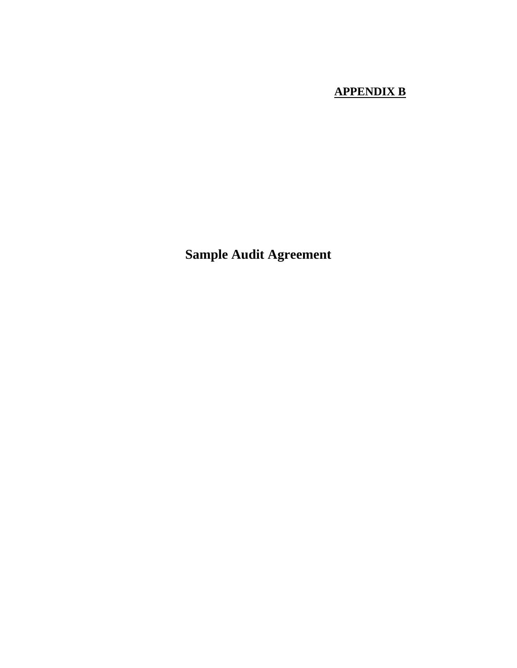## **APPENDIX B**

**Sample Audit Agreement**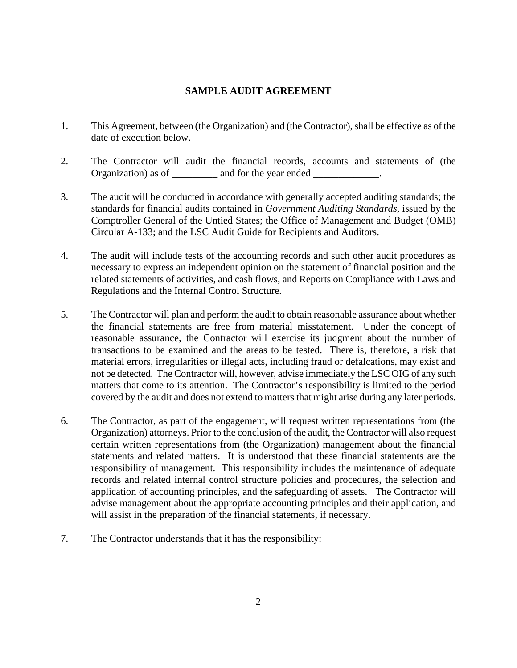## **SAMPLE AUDIT AGREEMENT**

- 1. This Agreement, between (the Organization) and (the Contractor), shall be effective as of the date of execution below.
- 2. The Contractor will audit the financial records, accounts and statements of (the Organization) as of \_\_\_\_\_\_\_\_\_ and for the year ended \_\_\_\_\_\_\_\_\_\_\_\_.
- 3. The audit will be conducted in accordance with generally accepted auditing standards; the standards for financial audits contained in *Government Auditing Standards*, issued by the Comptroller General of the Untied States; the Office of Management and Budget (OMB) Circular A-133; and the LSC Audit Guide for Recipients and Auditors.
- 4. The audit will include tests of the accounting records and such other audit procedures as necessary to express an independent opinion on the statement of financial position and the related statements of activities, and cash flows, and Reports on Compliance with Laws and Regulations and the Internal Control Structure.
- 5. The Contractor will plan and perform the audit to obtain reasonable assurance about whether the financial statements are free from material misstatement. Under the concept of reasonable assurance, the Contractor will exercise its judgment about the number of transactions to be examined and the areas to be tested. There is, therefore, a risk that material errors, irregularities or illegal acts, including fraud or defalcations, may exist and not be detected. The Contractor will, however, advise immediately the LSC OIG of any such matters that come to its attention. The Contractor's responsibility is limited to the period covered by the audit and does not extend to matters that might arise during any later periods.
- 6. The Contractor, as part of the engagement, will request written representations from (the Organization) attorneys. Prior to the conclusion of the audit, the Contractor will also request certain written representations from (the Organization) management about the financial statements and related matters. It is understood that these financial statements are the responsibility of management. This responsibility includes the maintenance of adequate records and related internal control structure policies and procedures, the selection and application of accounting principles, and the safeguarding of assets. The Contractor will advise management about the appropriate accounting principles and their application, and will assist in the preparation of the financial statements, if necessary.
- 7. The Contractor understands that it has the responsibility: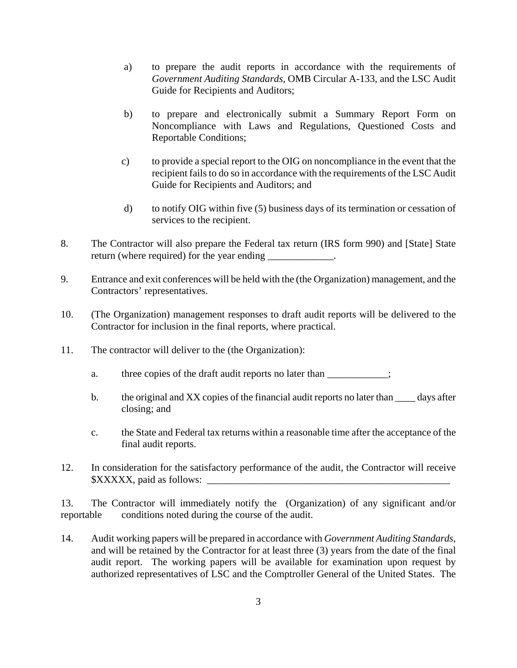- a) to prepare the audit reports in accordance with the requirements of *Government Auditing Standards,* OMB Circular A-133, and the LSC Audit Guide for Recipients and Auditors;
- b) to prepare and electronically submit a Summary Report Form on Noncompliance with Laws and Regulations, Questioned Costs and Reportable Conditions;
- c) to provide a special report to the OIG on noncompliance in the event that the recipient fails to do so in accordance with the requirements of the LSC Audit Guide for Recipients and Auditors; and
- d) to notify OIG within five (5) business days of its termination or cessation of services to the recipient.
- 8. The Contractor will also prepare the Federal tax return (IRS form 990) and [State] State return (where required) for the year ending
- 9. Entrance and exit conferences will be held with the (the Organization) management, and the Contractors' representatives.
- 10. (The Organization) management responses to draft audit reports will be delivered to the Contractor for inclusion in the final reports, where practical.
- 11. The contractor will deliver to the (the Organization):
	- a. three copies of the draft audit reports no later than  $\frac{1}{1}$ ;
	- b. the original and XX copies of the financial audit reports no later than  $\_\_\_\_$  days after closing; and
	- c. the State and Federal tax returns within a reasonable time after the acceptance of the final audit reports.
- 12. In consideration for the satisfactory performance of the audit, the Contractor will receive  $\{XXXXXX\}$ , paid as follows:

13. The Contractor will immediately notify the (Organization) of any significant and/or reportable conditions noted during the course of the audit.

14. Audit working papers will be prepared in accordance with *Government Auditing Standards*, and will be retained by the Contractor for at least three (3) years from the date of the final audit report. The working papers will be available for examination upon request by authorized representatives of LSC and the Comptroller General of the United States. The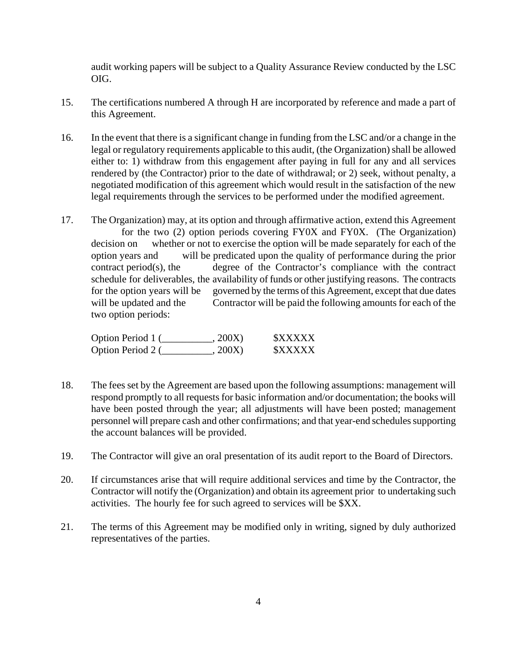audit working papers will be subject to a Quality Assurance Review conducted by the LSC OIG.

- 15. The certifications numbered A through H are incorporated by reference and made a part of this Agreement.
- 16. In the event that there is a significant change in funding from the LSC and/or a change in the legal or regulatory requirements applicable to this audit, (the Organization) shall be allowed either to: 1) withdraw from this engagement after paying in full for any and all services rendered by (the Contractor) prior to the date of withdrawal; or 2) seek, without penalty, a negotiated modification of this agreement which would result in the satisfaction of the new legal requirements through the services to be performed under the modified agreement.
- 17. The Organization) may, at its option and through affirmative action, extend this Agreement for the two (2) option periods covering FY0X and FY0X. (The Organization) decision on whether or not to exercise the option will be made separately for each of the option years and will be predicated upon the quality of performance during the prior  $control(s)$ , the degree of the Contractor's compliance with the contract schedule for deliverables, the availability of funds or other justifying reasons. The contracts for the option years will be governed by the terms of this Agreement, except that due dates will be updated and the Contractor will be paid the following amounts for each of the two option periods:

| Option Period 1 ( | , 200X) | <b><i>SXXXXX</i></b> |
|-------------------|---------|----------------------|
| Option Period 2 ( | , 200X) | <b><i>SXXXXX</i></b> |

- 18. The fees set by the Agreement are based upon the following assumptions: management will respond promptly to all requests for basic information and/or documentation; the books will have been posted through the year; all adjustments will have been posted; management personnel will prepare cash and other confirmations; and that year-end schedules supporting the account balances will be provided.
- 19. The Contractor will give an oral presentation of its audit report to the Board of Directors.
- 20. If circumstances arise that will require additional services and time by the Contractor, the Contractor will notify the (Organization) and obtain its agreement prior to undertaking such activities. The hourly fee for such agreed to services will be \$XX.
- 21. The terms of this Agreement may be modified only in writing, signed by duly authorized representatives of the parties.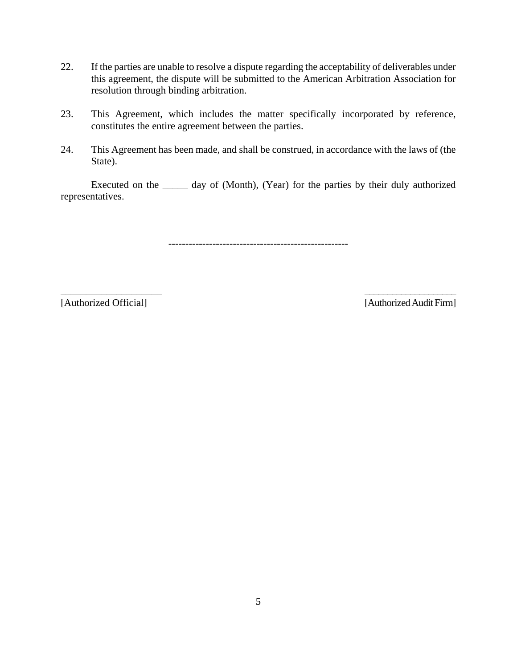- 22. If the parties are unable to resolve a dispute regarding the acceptability of deliverables under this agreement, the dispute will be submitted to the American Arbitration Association for resolution through binding arbitration.
- 23. This Agreement, which includes the matter specifically incorporated by reference, constitutes the entire agreement between the parties.
- 24. This Agreement has been made, and shall be construed, in accordance with the laws of (the State).

Executed on the \_\_\_\_\_ day of (Month), (Year) for the parties by their duly authorized representatives.

-----------------------------------------------------

 $\overline{\phantom{a}}$  , and the contract of the contract of the contract of the contract of the contract of the contract of the contract of the contract of the contract of the contract of the contract of the contract of the contrac

[Authorized Official] [Authorized Audit Firm]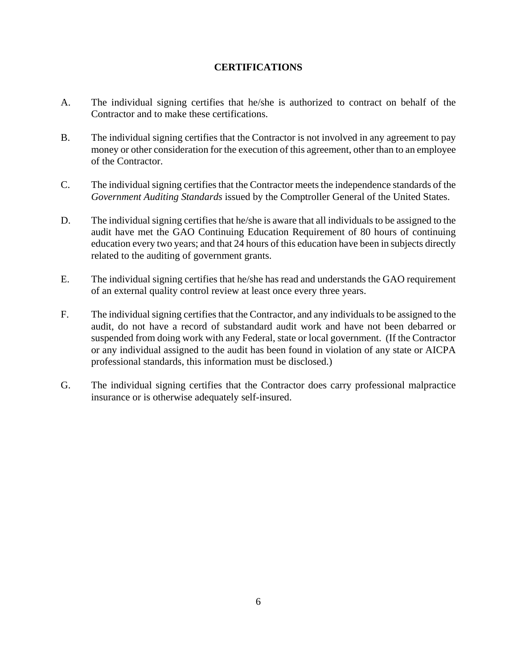## **CERTIFICATIONS**

- A. The individual signing certifies that he/she is authorized to contract on behalf of the Contractor and to make these certifications.
- B. The individual signing certifies that the Contractor is not involved in any agreement to pay money or other consideration for the execution of this agreement, other than to an employee of the Contractor.
- C. The individual signing certifies that the Contractor meets the independence standards of the *Government Auditing Standards* issued by the Comptroller General of the United States.
- D. The individual signing certifies that he/she is aware that all individuals to be assigned to the audit have met the GAO Continuing Education Requirement of 80 hours of continuing education every two years; and that 24 hours of this education have been in subjects directly related to the auditing of government grants.
- E. The individual signing certifies that he/she has read and understands the GAO requirement of an external quality control review at least once every three years.
- F. The individual signing certifies that the Contractor, and any individuals to be assigned to the audit, do not have a record of substandard audit work and have not been debarred or suspended from doing work with any Federal, state or local government. (If the Contractor or any individual assigned to the audit has been found in violation of any state or AICPA professional standards, this information must be disclosed.)
- G. The individual signing certifies that the Contractor does carry professional malpractice insurance or is otherwise adequately self-insured.